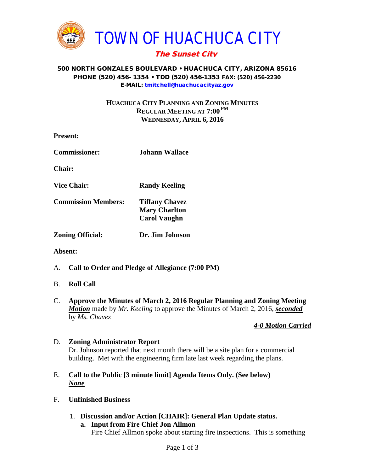

## The Sunset City

### 500 NORTH GONZALES BOULEVARD • HUACHUCA CITY, ARIZONA 85616 PHONE (520) 456- 1354 • TDD (520) 456-1353 FAX: (520) 456-2230 E-MAIL: [tmitchell@huachucacityaz.gov](mailto:tmitchell@huachucacityaz.gov)

## **HUACHUCA CITY PLANNING AND ZONING MINUTES REGULAR MEETING AT 7:00 PM WEDNESDAY, APRIL 6, 2016**

| <b>Present:</b>            |                                                                      |  |
|----------------------------|----------------------------------------------------------------------|--|
| <b>Commissioner:</b>       | Johann Wallace                                                       |  |
| <b>Chair:</b>              |                                                                      |  |
| <b>Vice Chair:</b>         | <b>Randy Keeling</b>                                                 |  |
| <b>Commission Members:</b> | <b>Tiffany Chavez</b><br><b>Mary Charlton</b><br><b>Carol Vaughn</b> |  |
| <b>Zoning Official:</b>    | Dr. Jim Johnson                                                      |  |

**Absent:**

A. **Call to Order and Pledge of Allegiance (7:00 PM)**

### B. **Roll Call**

C. **Approve the Minutes of March 2, 2016 Regular Planning and Zoning Meeting** *Motion* made by *Mr. Keeling* to approve the Minutes of March 2, 2016, *seconded* by *Ms. Chavez*

## *4-0 Motion Carried*

# D. **Zoning Administrator Report** Dr. Johnson reported that next month there will be a site plan for a commercial building. Met with the engineering firm late last week regarding the plans.

- E. **Call to the Public [3 minute limit] Agenda Items Only. (See below)** *None*
- F. **Unfinished Business**
	- 1. **Discussion and/or Action [CHAIR]: General Plan Update status. a. Input from Fire Chief Jon Allmon**
		- Fire Chief Allmon spoke about starting fire inspections. This is something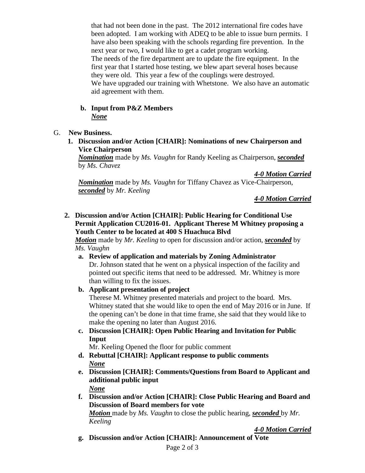that had not been done in the past. The 2012 international fire codes have been adopted. I am working with ADEQ to be able to issue burn permits. I have also been speaking with the schools regarding fire prevention. In the next year or two, I would like to get a cadet program working. The needs of the fire department are to update the fire equipment. In the first year that I started hose testing, we blew apart several hoses because they were old. This year a few of the couplings were destroyed. We have upgraded our training with Whetstone. We also have an automatic aid agreement with them.

### **b. Input from P&Z Members** *None*

## G. **New Business.**

**1. Discussion and/or Action [CHAIR]: Nominations of new Chairperson and Vice Chairperson**

*Nomination* made by *Ms. Vaughn* for Randy Keeling as Chairperson, *seconded* by *Ms. Chavez*

*4-0 Motion Carried*

*Nomination* made by *Ms. Vaughn* for Tiffany Chavez as Vice-Chairperson, *seconded* by *Mr. Keeling*

## *4-0 Motion Carried*

**2. Discussion and/or Action [CHAIR]: Public Hearing for Conditional Use Permit Application CU2016-01. Applicant Therese M Whitney proposing a Youth Center to be located at 400 S Huachuca Blvd**

*Motion* made by *Mr. Keeling* to open for discussion and/or action, *seconded* by *Ms. Vaughn*

**a. Review of application and materials by Zoning Administrator** Dr. Johnson stated that he went on a physical inspection of the facility and pointed out specific items that need to be addressed. Mr. Whitney is more than willing to fix the issues.

## **b. Applicant presentation of project**

Therese M. Whitney presented materials and project to the board. Mrs. Whitney stated that she would like to open the end of May 2016 or in June. If the opening can't be done in that time frame, she said that they would like to make the opening no later than August 2016.

**c. Discussion [CHAIR]: Open Public Hearing and Invitation for Public Input**

Mr. Keeling Opened the floor for public comment

- **d. Rebuttal [CHAIR]: Applicant response to public comments** *None*
- **e. Discussion [CHAIR]: Comments/Questions from Board to Applicant and additional public input** *None*
- **f. Discussion and/or Action [CHAIR]: Close Public Hearing and Board and Discussion of Board members for vote**

*Motion* made by *Ms. Vaughn* to close the public hearing, *seconded* by *Mr. Keeling*

*4-0 Motion Carried*

**g. Discussion and/or Action [CHAIR]: Announcement of Vote**